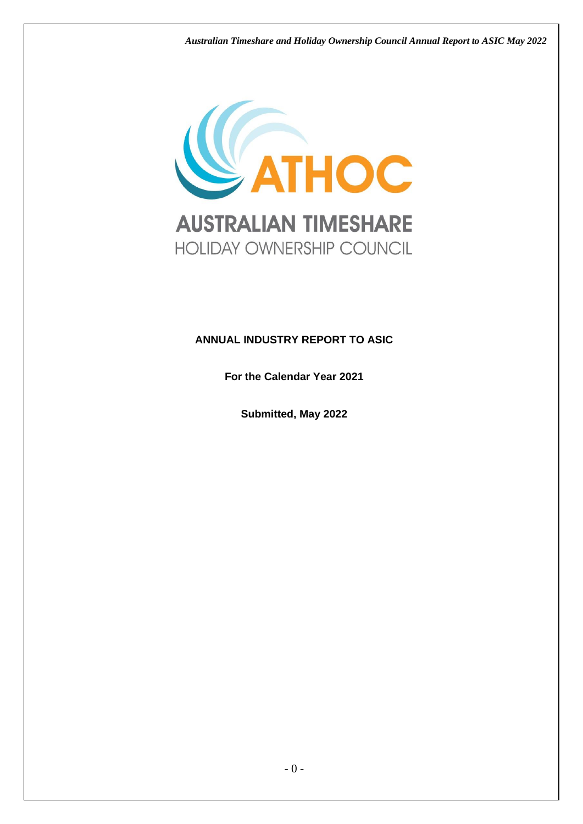*Australian Timeshare and Holiday Ownership Council Annual Report to ASIC May 2022*



# **ANNUAL INDUSTRY REPORT TO ASIC**

**For the Calendar Year 2021**

**Submitted, May 2022**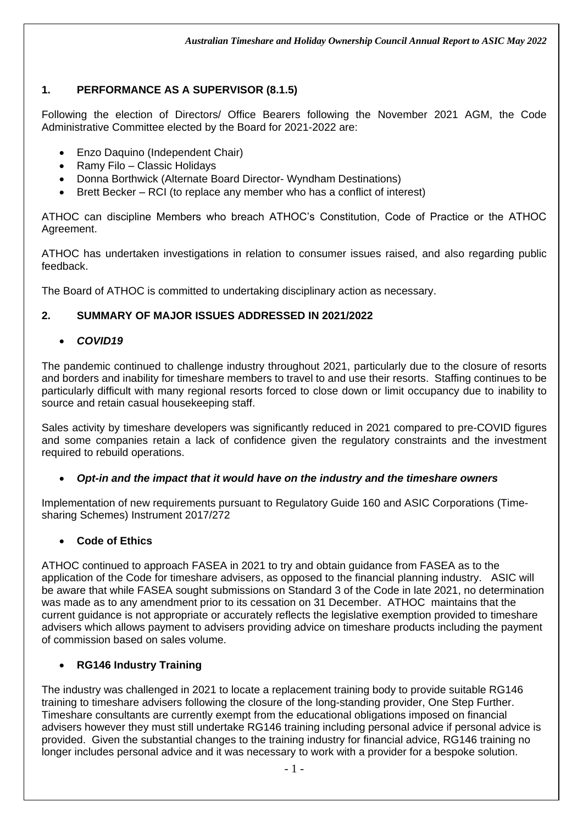# **1. PERFORMANCE AS A SUPERVISOR (8.1.5)**

Following the election of Directors/ Office Bearers following the November 2021 AGM, the Code Administrative Committee elected by the Board for 2021-2022 are:

- Enzo Daquino (Independent Chair)
- Ramy Filo Classic Holidays
- Donna Borthwick (Alternate Board Director- Wyndham Destinations)
- Brett Becker RCI (to replace any member who has a conflict of interest)

ATHOC can discipline Members who breach ATHOC's Constitution, Code of Practice or the ATHOC Agreement.

ATHOC has undertaken investigations in relation to consumer issues raised, and also regarding public feedback.

The Board of ATHOC is committed to undertaking disciplinary action as necessary.

### **2. SUMMARY OF MAJOR ISSUES ADDRESSED IN 2021/2022**

### • *COVID19*

The pandemic continued to challenge industry throughout 2021, particularly due to the closure of resorts and borders and inability for timeshare members to travel to and use their resorts. Staffing continues to be particularly difficult with many regional resorts forced to close down or limit occupancy due to inability to source and retain casual housekeeping staff.

Sales activity by timeshare developers was significantly reduced in 2021 compared to pre-COVID figures and some companies retain a lack of confidence given the regulatory constraints and the investment required to rebuild operations.

### • *Opt-in and the impact that it would have on the industry and the timeshare owners*

Implementation of new requirements pursuant to Regulatory Guide 160 and ASIC Corporations (Timesharing Schemes) Instrument 2017/272

### • **Code of Ethics**

ATHOC continued to approach FASEA in 2021 to try and obtain guidance from FASEA as to the application of the Code for timeshare advisers, as opposed to the financial planning industry. ASIC will be aware that while FASEA sought submissions on Standard 3 of the Code in late 2021, no determination was made as to any amendment prior to its cessation on 31 December. ATHOC maintains that the current guidance is not appropriate or accurately reflects the legislative exemption provided to timeshare advisers which allows payment to advisers providing advice on timeshare products including the payment of commission based on sales volume.

## • **RG146 Industry Training**

The industry was challenged in 2021 to locate a replacement training body to provide suitable RG146 training to timeshare advisers following the closure of the long-standing provider, One Step Further. Timeshare consultants are currently exempt from the educational obligations imposed on financial advisers however they must still undertake RG146 training including personal advice if personal advice is provided. Given the substantial changes to the training industry for financial advice, RG146 training no longer includes personal advice and it was necessary to work with a provider for a bespoke solution.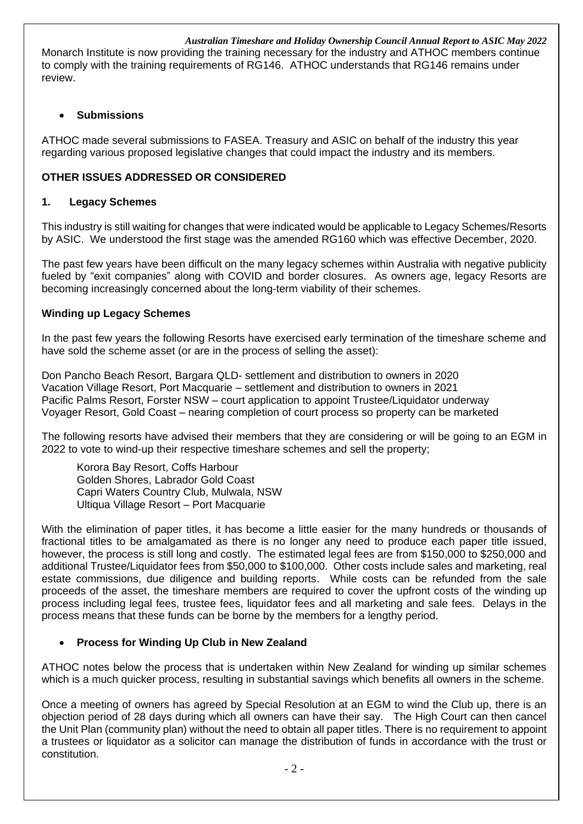*Australian Timeshare and Holiday Ownership Council Annual Report to ASIC May 2022* Monarch Institute is now providing the training necessary for the industry and ATHOC members continue to comply with the training requirements of RG146. ATHOC understands that RG146 remains under review.

#### • **Submissions**

ATHOC made several submissions to FASEA. Treasury and ASIC on behalf of the industry this year regarding various proposed legislative changes that could impact the industry and its members.

### **OTHER ISSUES ADDRESSED OR CONSIDERED**

#### **1. Legacy Schemes**

This industry is still waiting for changes that were indicated would be applicable to Legacy Schemes/Resorts by ASIC. We understood the first stage was the amended RG160 which was effective December, 2020.

The past few years have been difficult on the many legacy schemes within Australia with negative publicity fueled by "exit companies" along with COVID and border closures. As owners age, legacy Resorts are becoming increasingly concerned about the long-term viability of their schemes.

#### **Winding up Legacy Schemes**

In the past few years the following Resorts have exercised early termination of the timeshare scheme and have sold the scheme asset (or are in the process of selling the asset):

Don Pancho Beach Resort, Bargara QLD- settlement and distribution to owners in 2020 Vacation Village Resort, Port Macquarie – settlement and distribution to owners in 2021 Pacific Palms Resort, Forster NSW – court application to appoint Trustee/Liquidator underway Voyager Resort, Gold Coast – nearing completion of court process so property can be marketed

The following resorts have advised their members that they are considering or will be going to an EGM in 2022 to vote to wind-up their respective timeshare schemes and sell the property;

Korora Bay Resort, Coffs Harbour Golden Shores, Labrador Gold Coast Capri Waters Country Club, Mulwala, NSW Ultiqua Village Resort – Port Macquarie

With the elimination of paper titles, it has become a little easier for the many hundreds or thousands of fractional titles to be amalgamated as there is no longer any need to produce each paper title issued, however, the process is still long and costly. The estimated legal fees are from \$150,000 to \$250,000 and additional Trustee/Liquidator fees from \$50,000 to \$100,000. Other costs include sales and marketing, real estate commissions, due diligence and building reports. While costs can be refunded from the sale proceeds of the asset, the timeshare members are required to cover the upfront costs of the winding up process including legal fees, trustee fees, liquidator fees and all marketing and sale fees. Delays in the process means that these funds can be borne by the members for a lengthy period.

### • **Process for Winding Up Club in New Zealand**

ATHOC notes below the process that is undertaken within New Zealand for winding up similar schemes which is a much quicker process, resulting in substantial savings which benefits all owners in the scheme.

Once a meeting of owners has agreed by Special Resolution at an EGM to wind the Club up, there is an objection period of 28 days during which all owners can have their say. The High Court can then cancel the Unit Plan (community plan) without the need to obtain all paper titles. There is no requirement to appoint a trustees or liquidator as a solicitor can manage the distribution of funds in accordance with the trust or constitution.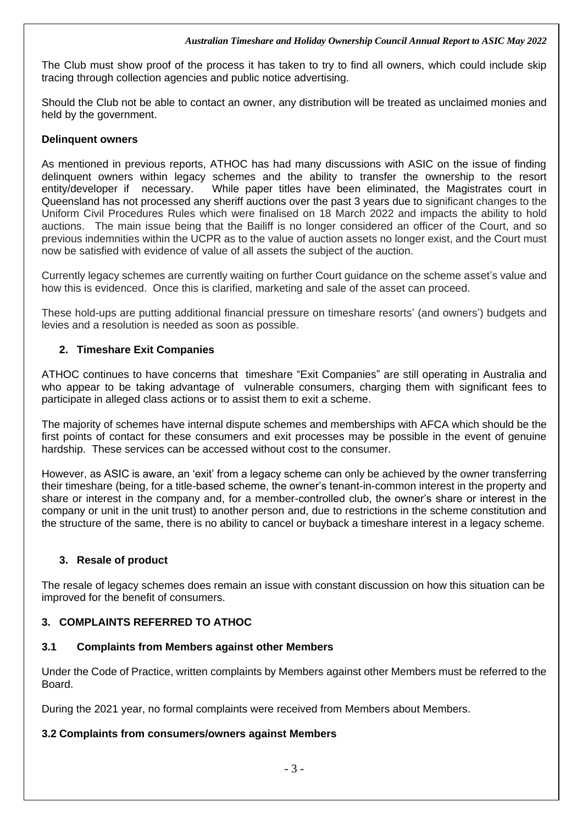#### *Australian Timeshare and Holiday Ownership Council Annual Report to ASIC May 2022*

The Club must show proof of the process it has taken to try to find all owners, which could include skip tracing through collection agencies and public notice advertising.

Should the Club not be able to contact an owner, any distribution will be treated as unclaimed monies and held by the government.

### **Delinquent owners**

As mentioned in previous reports, ATHOC has had many discussions with ASIC on the issue of finding delinquent owners within legacy schemes and the ability to transfer the ownership to the resort entity/developer if necessary. While paper titles have been eliminated, the Magistrates court in Queensland has not processed any sheriff auctions over the past 3 years due to significant changes to the Uniform Civil Procedures Rules which were finalised on 18 March 2022 and impacts the ability to hold auctions. The main issue being that the Bailiff is no longer considered an officer of the Court, and so previous indemnities within the UCPR as to the value of auction assets no longer exist, and the Court must now be satisfied with evidence of value of all assets the subject of the auction.

Currently legacy schemes are currently waiting on further Court guidance on the scheme asset's value and how this is evidenced. Once this is clarified, marketing and sale of the asset can proceed.

These hold-ups are putting additional financial pressure on timeshare resorts' (and owners') budgets and levies and a resolution is needed as soon as possible.

### **2. Timeshare Exit Companies**

ATHOC continues to have concerns that timeshare "Exit Companies" are still operating in Australia and who appear to be taking advantage of vulnerable consumers, charging them with significant fees to participate in alleged class actions or to assist them to exit a scheme.

The majority of schemes have internal dispute schemes and memberships with AFCA which should be the first points of contact for these consumers and exit processes may be possible in the event of genuine hardship. These services can be accessed without cost to the consumer.

However, as ASIC is aware, an 'exit' from a legacy scheme can only be achieved by the owner transferring their timeshare (being, for a title-based scheme, the owner's tenant-in-common interest in the property and share or interest in the company and, for a member-controlled club, the owner's share or interest in the company or unit in the unit trust) to another person and, due to restrictions in the scheme constitution and the structure of the same, there is no ability to cancel or buyback a timeshare interest in a legacy scheme.

### **3. Resale of product**

The resale of legacy schemes does remain an issue with constant discussion on how this situation can be improved for the benefit of consumers.

### **3. COMPLAINTS REFERRED TO ATHOC**

### **3.1 Complaints from Members against other Members**

Under the Code of Practice, written complaints by Members against other Members must be referred to the Board.

During the 2021 year, no formal complaints were received from Members about Members.

### **3.2 Complaints from consumers/owners against Members**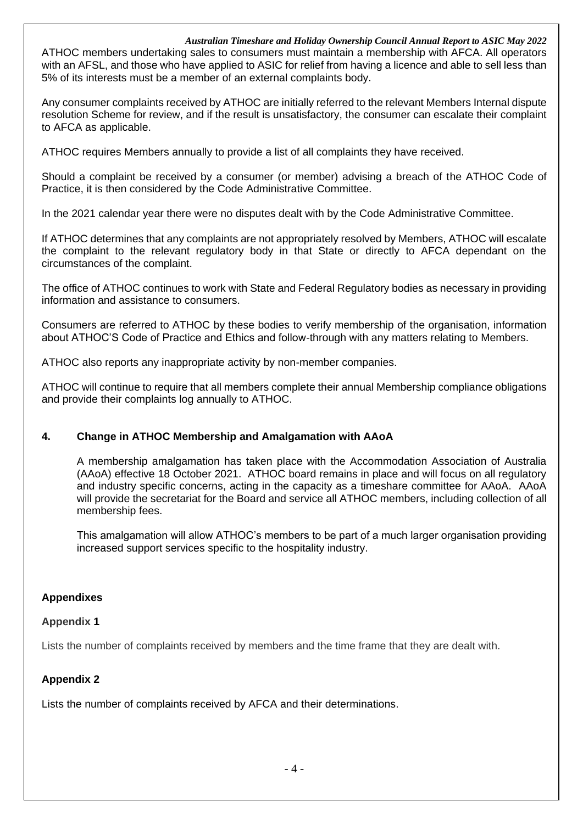#### *Australian Timeshare and Holiday Ownership Council Annual Report to ASIC May 2022*

ATHOC members undertaking sales to consumers must maintain a membership with AFCA. All operators with an AFSL, and those who have applied to ASIC for relief from having a licence and able to sell less than 5% of its interests must be a member of an external complaints body.

Any consumer complaints received by ATHOC are initially referred to the relevant Members Internal dispute resolution Scheme for review, and if the result is unsatisfactory, the consumer can escalate their complaint to AFCA as applicable.

ATHOC requires Members annually to provide a list of all complaints they have received.

Should a complaint be received by a consumer (or member) advising a breach of the ATHOC Code of Practice, it is then considered by the Code Administrative Committee.

In the 2021 calendar year there were no disputes dealt with by the Code Administrative Committee.

If ATHOC determines that any complaints are not appropriately resolved by Members, ATHOC will escalate the complaint to the relevant regulatory body in that State or directly to AFCA dependant on the circumstances of the complaint.

The office of ATHOC continues to work with State and Federal Regulatory bodies as necessary in providing information and assistance to consumers.

Consumers are referred to ATHOC by these bodies to verify membership of the organisation, information about ATHOC'S Code of Practice and Ethics and follow-through with any matters relating to Members.

ATHOC also reports any inappropriate activity by non-member companies.

ATHOC will continue to require that all members complete their annual Membership compliance obligations and provide their complaints log annually to ATHOC.

### **4. Change in ATHOC Membership and Amalgamation with AAoA**

A membership amalgamation has taken place with the Accommodation Association of Australia (AAoA) effective 18 October 2021. ATHOC board remains in place and will focus on all regulatory and industry specific concerns, acting in the capacity as a timeshare committee for AAoA. AAoA will provide the secretariat for the Board and service all ATHOC members, including collection of all membership fees.

This amalgamation will allow ATHOC's members to be part of a much larger organisation providing increased support services specific to the hospitality industry.

#### **Appendixes**

#### **Appendix 1**

Lists the number of complaints received by members and the time frame that they are dealt with.

#### **Appendix 2**

Lists the number of complaints received by AFCA and their determinations.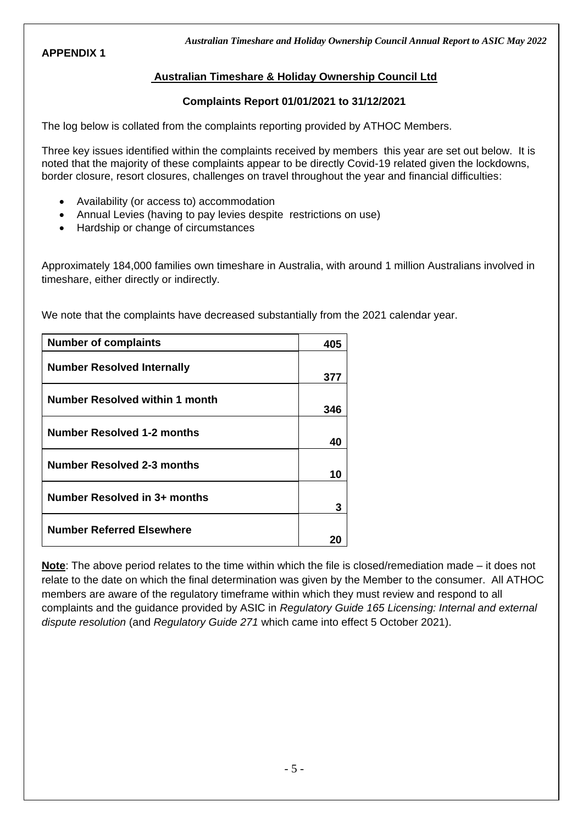### **APPENDIX 1**

*Australian Timeshare and Holiday Ownership Council Annual Report to ASIC May 2022*

### **Australian Timeshare & Holiday Ownership Council Ltd**

#### **Complaints Report 01/01/2021 to 31/12/2021**

The log below is collated from the complaints reporting provided by ATHOC Members.

Three key issues identified within the complaints received by members this year are set out below. It is noted that the majority of these complaints appear to be directly Covid-19 related given the lockdowns, border closure, resort closures, challenges on travel throughout the year and financial difficulties:

- Availability (or access to) accommodation
- Annual Levies (having to pay levies despite restrictions on use)
- Hardship or change of circumstances

Approximately 184,000 families own timeshare in Australia, with around 1 million Australians involved in timeshare, either directly or indirectly.

We note that the complaints have decreased substantially from the 2021 calendar year.

| <b>Number of complaints</b>           | 405 |
|---------------------------------------|-----|
| <b>Number Resolved Internally</b>     | 377 |
| <b>Number Resolved within 1 month</b> | 346 |
| <b>Number Resolved 1-2 months</b>     | 40  |
| <b>Number Resolved 2-3 months</b>     | 10  |
| Number Resolved in 3+ months          | 3   |
| <b>Number Referred Elsewhere</b>      |     |

**Note**: The above period relates to the time within which the file is closed/remediation made – it does not relate to the date on which the final determination was given by the Member to the consumer. All ATHOC members are aware of the regulatory timeframe within which they must review and respond to all complaints and the guidance provided by ASIC in *Regulatory Guide 165 Licensing: Internal and external dispute resolution* (and *Regulatory Guide 271* which came into effect 5 October 2021).